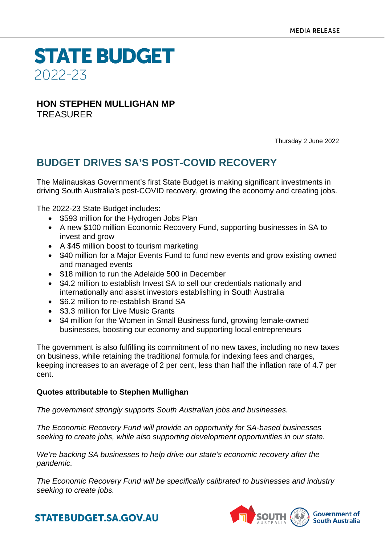**STATE BUDGET** 2022-23

## **HON STEPHEN MULLIGHAN MP** TREASURER

Thursday 2 June 2022

## **BUDGET DRIVES SA'S POST-COVID RECOVERY**

The Malinauskas Government's first State Budget is making significant investments in driving South Australia's post-COVID recovery, growing the economy and creating jobs.

The 2022-23 State Budget includes:

- \$593 million for the Hydrogen Jobs Plan
- A new \$100 million Economic Recovery Fund, supporting businesses in SA to invest and grow
- A \$45 million boost to tourism marketing
- \$40 million for a Major Events Fund to fund new events and grow existing owned and managed events
- \$18 million to run the Adelaide 500 in December
- \$4.2 million to establish Invest SA to sell our credentials nationally and internationally and assist investors establishing in South Australia
- \$6.2 million to re-establish Brand SA
- \$3.3 million for Live Music Grants
- \$4 million for the Women in Small Business fund, growing female-owned businesses, boosting our economy and supporting local entrepreneurs

The government is also fulfilling its commitment of no new taxes, including no new taxes on business, while retaining the traditional formula for indexing fees and charges, keeping increases to an average of 2 per cent, less than half the inflation rate of 4.7 per cent.

## **Quotes attributable to Stephen Mullighan**

*The government strongly supports South Australian jobs and businesses.*

*The Economic Recovery Fund will provide an opportunity for SA-based businesses seeking to create jobs, while also supporting development opportunities in our state.*

*We're backing SA businesses to help drive our state's economic recovery after the pandemic.*

*The Economic Recovery Fund will be specifically calibrated to businesses and industry seeking to create jobs.*



**STATEBUDGET.SA.GOV.AU**